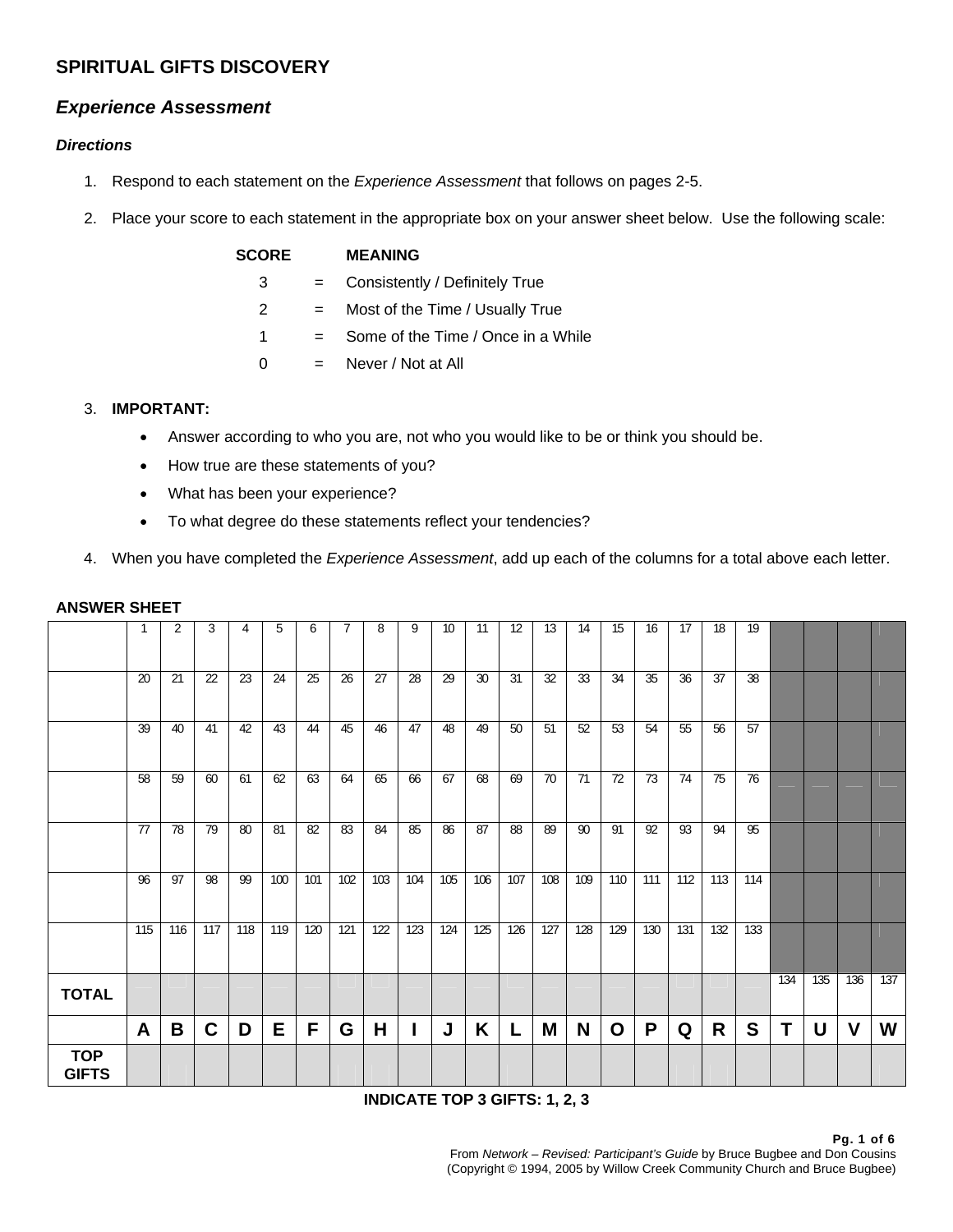## **SPIRITUAL GIFTS DISCOVERY**

### *Experience Assessment*

### *Directions*

- 1. Respond to each statement on the *Experience Assessment* that follows on pages 2-5.
- 2. Place your score to each statement in the appropriate box on your answer sheet below. Use the following scale:

| <b>SCORE</b> |     | <b>MEANING</b>                     |
|--------------|-----|------------------------------------|
| 3            | $=$ | Consistently / Definitely True     |
| 2            | $=$ | Most of the Time / Usually True    |
| 1            | $=$ | Some of the Time / Once in a While |
| 0            | $=$ | Never / Not at All                 |
|              |     |                                    |

### 3. **IMPORTANT:**

- Answer according to who you are, not who you would like to be or think you should be.
- How true are these statements of you?
- What has been your experience?
- To what degree do these statements reflect your tendencies?
- 4. When you have completed the *Experience Assessment*, add up each of the columns for a total above each letter.

|                            | 20  | 2<br>21 | 3<br>22     | 4<br>23 | 5<br>24 | 6<br>25 | 26  | 8<br>27 | 9<br>28 | 10<br>29 | 11<br>30 | 12<br>31 | 13<br>32 | 14<br>33 | 15<br>34 | 16<br>35 | 17<br>36 | 18<br>37 | 19<br>38 |     |     |             |     |
|----------------------------|-----|---------|-------------|---------|---------|---------|-----|---------|---------|----------|----------|----------|----------|----------|----------|----------|----------|----------|----------|-----|-----|-------------|-----|
|                            |     |         |             |         |         |         |     |         |         |          |          |          |          |          |          |          |          |          |          |     |     |             |     |
|                            | 39  | 40      | 41          | 42      | 43      | 44      | 45  | 46      | 47      | 48       | 49       | 50       | 51       | 52       | 53       | 54       | 55       | 56       | 57       |     |     |             |     |
|                            | 58  | 59      | 60          | 61      | 62      | 63      | 64  | 65      | 66      | 67       | 68       | 69       | 70       | 71       | 72       | 73       | 74       | 75       | 76       |     |     |             |     |
|                            | 77  | 78      | 79          | 80      | 81      | 82      | 83  | 84      | 85      | 86       | 87       | 88       | 89       | 90       | 91       | 92       | 93       | 94       | 95       |     |     |             |     |
|                            | 96  | 97      | 98          | 99      | 100     | 101     | 102 | 103     | 104     | 105      | 106      | 107      | 108      | 109      | 110      | 111      | 112      | 113      | 114      |     |     |             |     |
|                            | 115 | 116     | 117         | 118     | 119     | 120     | 121 | 122     | 123     | 124      | 125      | 126      | 127      | 128      | 129      | 130      | 131      | 132      | 133      |     |     |             |     |
| <b>TOTAL</b>               |     |         |             |         |         |         |     |         |         |          |          |          |          |          |          |          |          |          |          | 134 | 135 | 136         | 137 |
|                            | A   | B       | $\mathbf C$ | D       | Е       | F       | G   | Н       |         | J        | K        | L        | M        | N        | O        | P        | Q        | R        | S        | Τ   | U   | $\mathbf v$ | W   |
| <b>TOP</b><br><b>GIFTS</b> |     |         |             |         |         |         |     |         |         |          |          |          |          |          |          |          |          |          |          |     |     |             |     |

#### **ANSWER SHEET**

**INDICATE TOP 3 GIFTS: 1, 2, 3**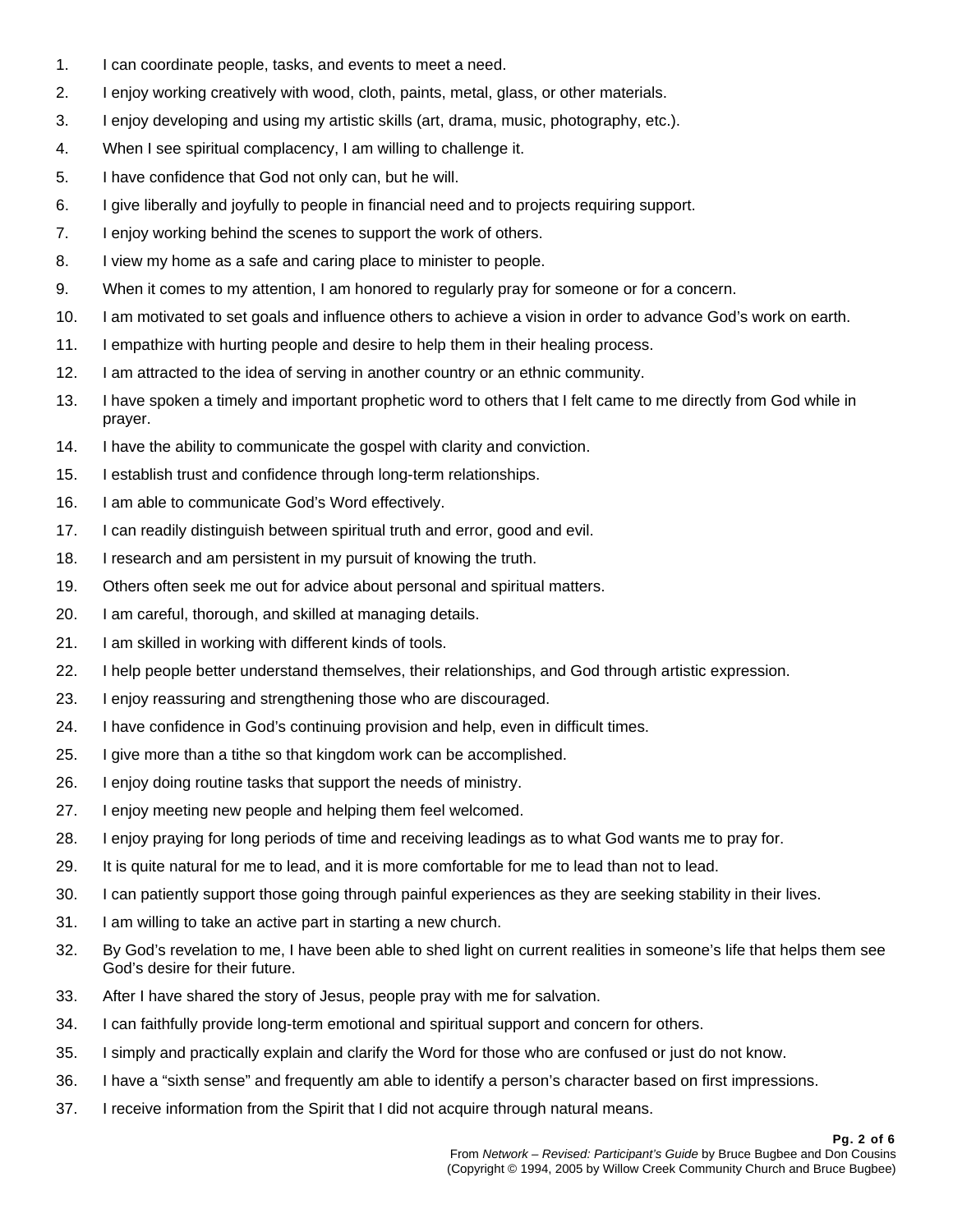- 1. I can coordinate people, tasks, and events to meet a need.
- 2. I enjoy working creatively with wood, cloth, paints, metal, glass, or other materials.
- 3. I enjoy developing and using my artistic skills (art, drama, music, photography, etc.).
- 4. When I see spiritual complacency, I am willing to challenge it.
- 5. I have confidence that God not only can, but he will.
- 6. I give liberally and joyfully to people in financial need and to projects requiring support.
- 7. I enjoy working behind the scenes to support the work of others.
- 8. I view my home as a safe and caring place to minister to people.
- 9. When it comes to my attention, I am honored to regularly pray for someone or for a concern.
- 10. I am motivated to set goals and influence others to achieve a vision in order to advance God's work on earth.
- 11. I empathize with hurting people and desire to help them in their healing process.
- 12. I am attracted to the idea of serving in another country or an ethnic community.
- 13. I have spoken a timely and important prophetic word to others that I felt came to me directly from God while in prayer.
- 14. I have the ability to communicate the gospel with clarity and conviction.
- 15. I establish trust and confidence through long-term relationships.
- 16. I am able to communicate God's Word effectively.
- 17. I can readily distinguish between spiritual truth and error, good and evil.
- 18. I research and am persistent in my pursuit of knowing the truth.
- 19. Others often seek me out for advice about personal and spiritual matters.
- 20. I am careful, thorough, and skilled at managing details.
- 21. I am skilled in working with different kinds of tools.
- 22. I help people better understand themselves, their relationships, and God through artistic expression.
- 23. I enjoy reassuring and strengthening those who are discouraged.
- 24. I have confidence in God's continuing provision and help, even in difficult times.
- 25. I give more than a tithe so that kingdom work can be accomplished.
- 26. I enjoy doing routine tasks that support the needs of ministry.
- 27. I enjoy meeting new people and helping them feel welcomed.
- 28. I enjoy praying for long periods of time and receiving leadings as to what God wants me to pray for.
- 29. It is quite natural for me to lead, and it is more comfortable for me to lead than not to lead.
- 30. I can patiently support those going through painful experiences as they are seeking stability in their lives.
- 31. I am willing to take an active part in starting a new church.
- 32. By God's revelation to me, I have been able to shed light on current realities in someone's life that helps them see God's desire for their future.
- 33. After I have shared the story of Jesus, people pray with me for salvation.
- 34. I can faithfully provide long-term emotional and spiritual support and concern for others.
- 35. I simply and practically explain and clarify the Word for those who are confused or just do not know.
- 36. I have a "sixth sense" and frequently am able to identify a person's character based on first impressions.
- 37. I receive information from the Spirit that I did not acquire through natural means.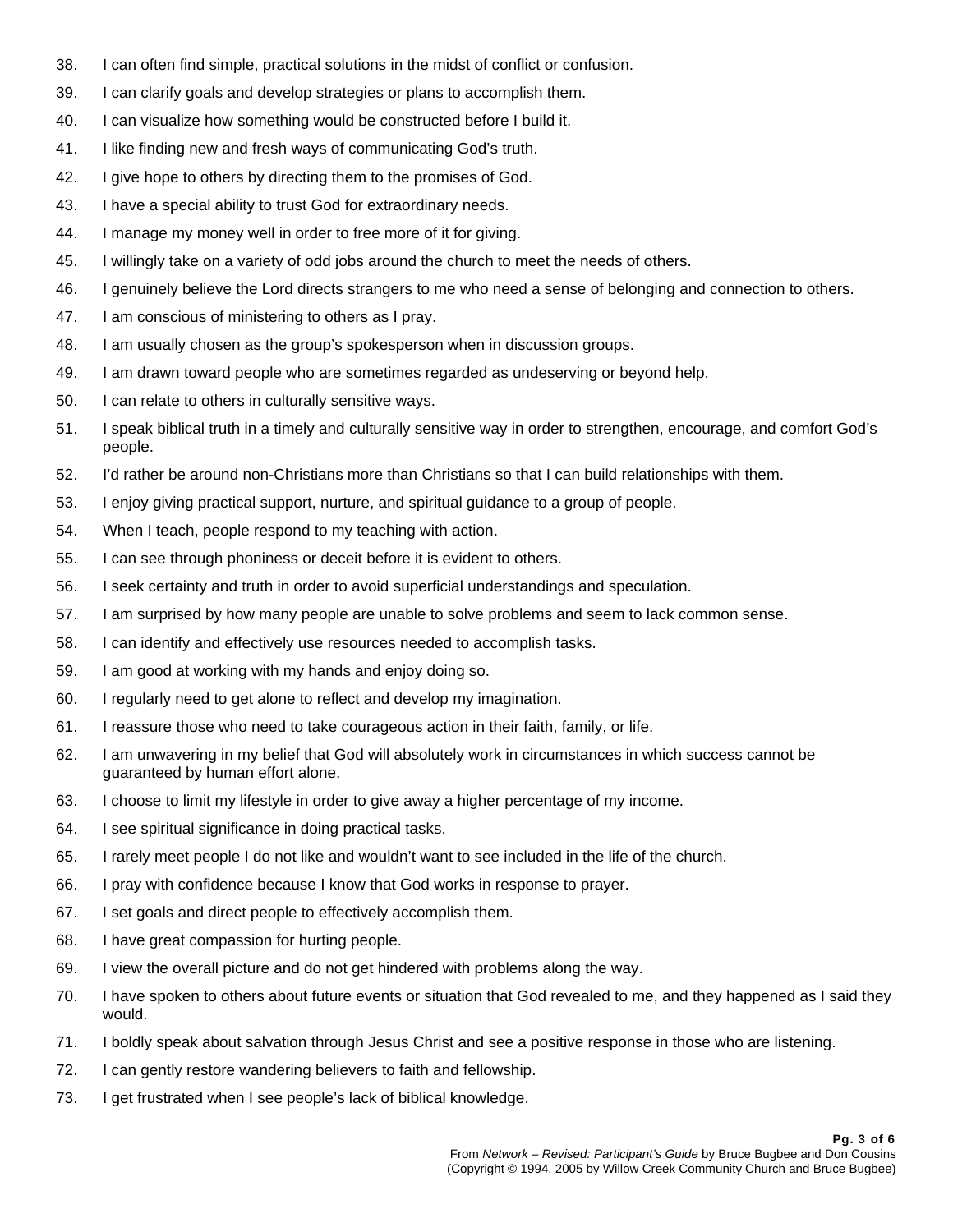- 38. I can often find simple, practical solutions in the midst of conflict or confusion.
- 39. I can clarify goals and develop strategies or plans to accomplish them.
- 40. I can visualize how something would be constructed before I build it.
- 41. I like finding new and fresh ways of communicating God's truth.
- 42. I give hope to others by directing them to the promises of God.
- 43. I have a special ability to trust God for extraordinary needs.
- 44. I manage my money well in order to free more of it for giving.
- 45. I willingly take on a variety of odd jobs around the church to meet the needs of others.
- 46. I genuinely believe the Lord directs strangers to me who need a sense of belonging and connection to others.
- 47. I am conscious of ministering to others as I pray.
- 48. I am usually chosen as the group's spokesperson when in discussion groups.
- 49. I am drawn toward people who are sometimes regarded as undeserving or beyond help.
- 50. I can relate to others in culturally sensitive ways.
- 51. I speak biblical truth in a timely and culturally sensitive way in order to strengthen, encourage, and comfort God's people.
- 52. I'd rather be around non-Christians more than Christians so that I can build relationships with them.
- 53. I enjoy giving practical support, nurture, and spiritual guidance to a group of people.
- 54. When I teach, people respond to my teaching with action.
- 55. I can see through phoniness or deceit before it is evident to others.
- 56. I seek certainty and truth in order to avoid superficial understandings and speculation.
- 57. I am surprised by how many people are unable to solve problems and seem to lack common sense.
- 58. I can identify and effectively use resources needed to accomplish tasks.
- 59. I am good at working with my hands and enjoy doing so.
- 60. I regularly need to get alone to reflect and develop my imagination.
- 61. I reassure those who need to take courageous action in their faith, family, or life.
- 62. I am unwavering in my belief that God will absolutely work in circumstances in which success cannot be guaranteed by human effort alone.
- 63. I choose to limit my lifestyle in order to give away a higher percentage of my income.
- 64. I see spiritual significance in doing practical tasks.
- 65. I rarely meet people I do not like and wouldn't want to see included in the life of the church.
- 66. I pray with confidence because I know that God works in response to prayer.
- 67. I set goals and direct people to effectively accomplish them.
- 68. I have great compassion for hurting people.
- 69. I view the overall picture and do not get hindered with problems along the way.
- 70. I have spoken to others about future events or situation that God revealed to me, and they happened as I said they would.
- 71. I boldly speak about salvation through Jesus Christ and see a positive response in those who are listening.
- 72. I can gently restore wandering believers to faith and fellowship.
- 73. I get frustrated when I see people's lack of biblical knowledge.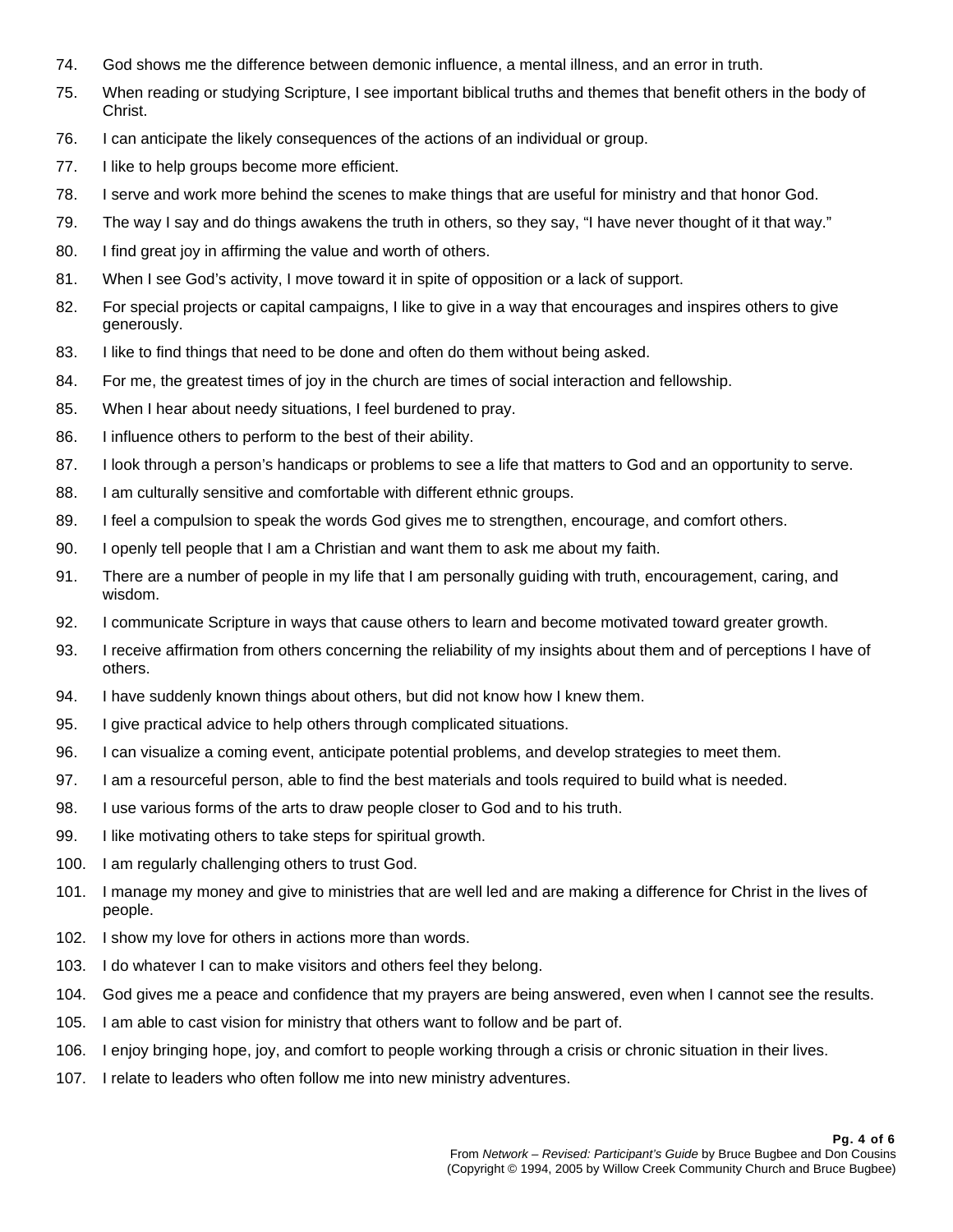- 74. God shows me the difference between demonic influence, a mental illness, and an error in truth.
- 75. When reading or studying Scripture, I see important biblical truths and themes that benefit others in the body of Christ.
- 76. I can anticipate the likely consequences of the actions of an individual or group.
- 77. I like to help groups become more efficient.
- 78. I serve and work more behind the scenes to make things that are useful for ministry and that honor God.
- 79. The way I say and do things awakens the truth in others, so they say, "I have never thought of it that way."
- 80. I find great joy in affirming the value and worth of others.
- 81. When I see God's activity, I move toward it in spite of opposition or a lack of support.
- 82. For special projects or capital campaigns, I like to give in a way that encourages and inspires others to give generously.
- 83. I like to find things that need to be done and often do them without being asked.
- 84. For me, the greatest times of joy in the church are times of social interaction and fellowship.
- 85. When I hear about needy situations, I feel burdened to pray.
- 86. I influence others to perform to the best of their ability.
- 87. I look through a person's handicaps or problems to see a life that matters to God and an opportunity to serve.
- 88. I am culturally sensitive and comfortable with different ethnic groups.
- 89. I feel a compulsion to speak the words God gives me to strengthen, encourage, and comfort others.
- 90. I openly tell people that I am a Christian and want them to ask me about my faith.
- 91. There are a number of people in my life that I am personally guiding with truth, encouragement, caring, and wisdom.
- 92. I communicate Scripture in ways that cause others to learn and become motivated toward greater growth.
- 93. I receive affirmation from others concerning the reliability of my insights about them and of perceptions I have of others.
- 94. I have suddenly known things about others, but did not know how I knew them.
- 95. I give practical advice to help others through complicated situations.
- 96. I can visualize a coming event, anticipate potential problems, and develop strategies to meet them.
- 97. I am a resourceful person, able to find the best materials and tools required to build what is needed.
- 98. I use various forms of the arts to draw people closer to God and to his truth.
- 99. I like motivating others to take steps for spiritual growth.
- 100. I am regularly challenging others to trust God.
- 101. I manage my money and give to ministries that are well led and are making a difference for Christ in the lives of people.
- 102. I show my love for others in actions more than words.
- 103. I do whatever I can to make visitors and others feel they belong.
- 104. God gives me a peace and confidence that my prayers are being answered, even when I cannot see the results.
- 105. I am able to cast vision for ministry that others want to follow and be part of.
- 106. I enjoy bringing hope, joy, and comfort to people working through a crisis or chronic situation in their lives.
- 107. I relate to leaders who often follow me into new ministry adventures.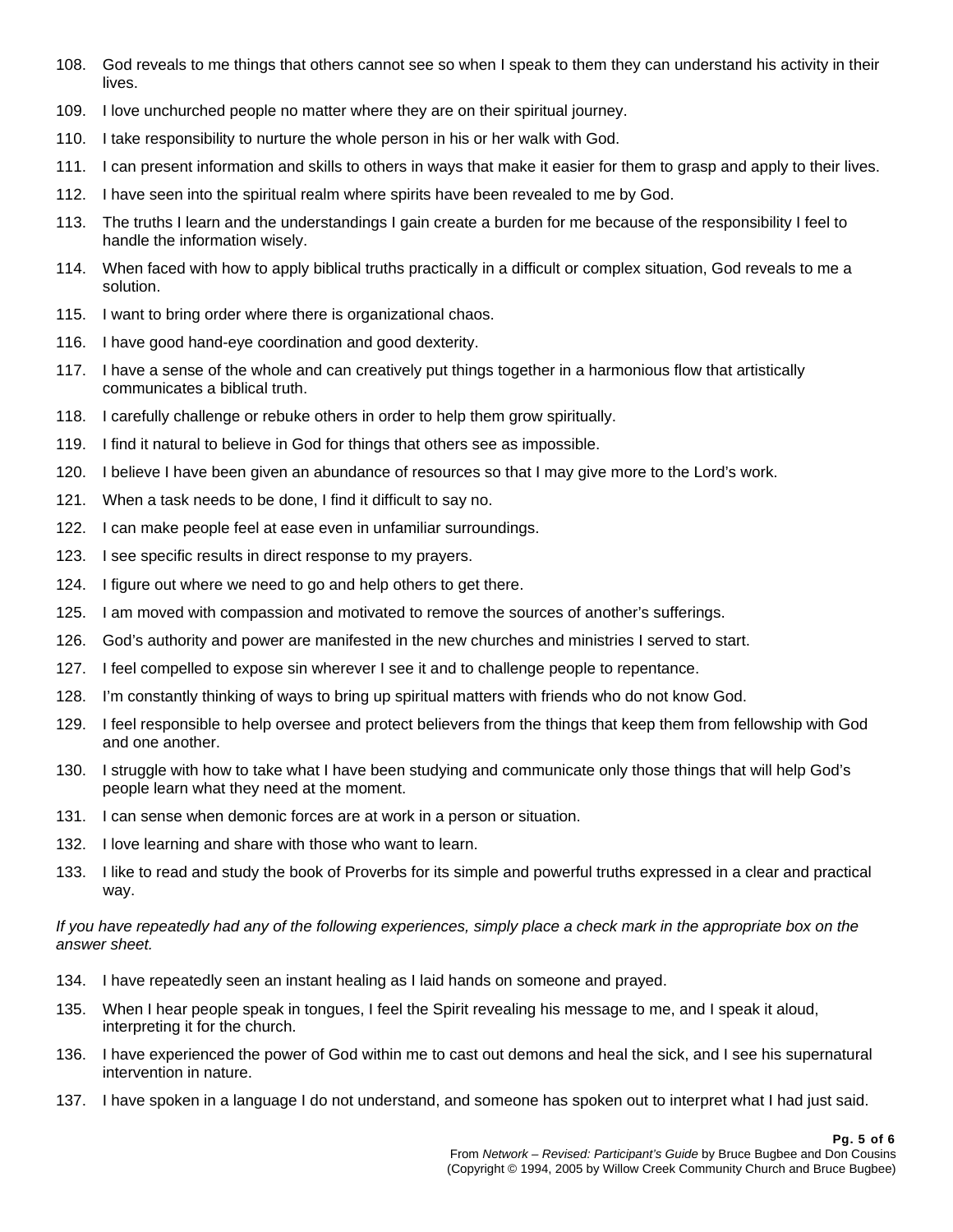- 108. God reveals to me things that others cannot see so when I speak to them they can understand his activity in their lives.
- 109. I love unchurched people no matter where they are on their spiritual journey.
- 110. I take responsibility to nurture the whole person in his or her walk with God.
- 111. I can present information and skills to others in ways that make it easier for them to grasp and apply to their lives.
- 112. I have seen into the spiritual realm where spirits have been revealed to me by God.
- 113. The truths I learn and the understandings I gain create a burden for me because of the responsibility I feel to handle the information wisely.
- 114. When faced with how to apply biblical truths practically in a difficult or complex situation, God reveals to me a solution.
- 115. I want to bring order where there is organizational chaos.
- 116. I have good hand-eye coordination and good dexterity.
- 117. I have a sense of the whole and can creatively put things together in a harmonious flow that artistically communicates a biblical truth.
- 118. I carefully challenge or rebuke others in order to help them grow spiritually.
- 119. I find it natural to believe in God for things that others see as impossible.
- 120. I believe I have been given an abundance of resources so that I may give more to the Lord's work.
- 121. When a task needs to be done, I find it difficult to say no.
- 122. I can make people feel at ease even in unfamiliar surroundings.
- 123. I see specific results in direct response to my prayers.
- 124. I figure out where we need to go and help others to get there.
- 125. I am moved with compassion and motivated to remove the sources of another's sufferings.
- 126. God's authority and power are manifested in the new churches and ministries I served to start.
- 127. I feel compelled to expose sin wherever I see it and to challenge people to repentance.
- 128. I'm constantly thinking of ways to bring up spiritual matters with friends who do not know God.
- 129. I feel responsible to help oversee and protect believers from the things that keep them from fellowship with God and one another.
- 130. I struggle with how to take what I have been studying and communicate only those things that will help God's people learn what they need at the moment.
- 131. I can sense when demonic forces are at work in a person or situation.
- 132. I love learning and share with those who want to learn.
- 133. I like to read and study the book of Proverbs for its simple and powerful truths expressed in a clear and practical way.

#### *If you have repeatedly had any of the following experiences, simply place a check mark in the appropriate box on the answer sheet.*

- 134. I have repeatedly seen an instant healing as I laid hands on someone and prayed.
- 135. When I hear people speak in tongues, I feel the Spirit revealing his message to me, and I speak it aloud, interpreting it for the church.
- 136. I have experienced the power of God within me to cast out demons and heal the sick, and I see his supernatural intervention in nature.
- 137. I have spoken in a language I do not understand, and someone has spoken out to interpret what I had just said.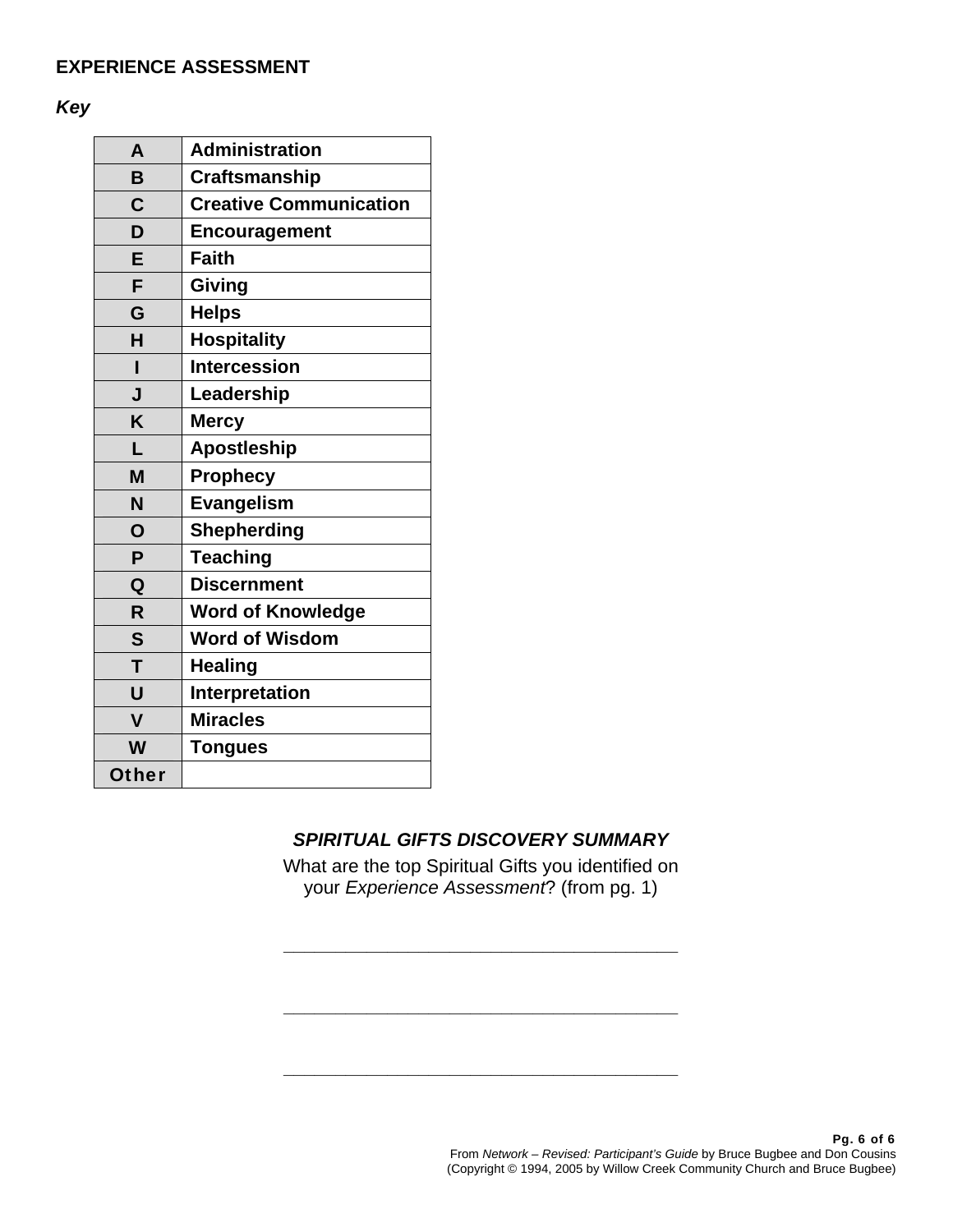## **EXPERIENCE ASSESSMENT**

*Key*

| A                       | <b>Administration</b>         |
|-------------------------|-------------------------------|
| B                       | <b>Craftsmanship</b>          |
| $\mathbf C$             | <b>Creative Communication</b> |
| D                       | <b>Encouragement</b>          |
| E                       | <b>Faith</b>                  |
| F                       | Giving                        |
| G                       | <b>Helps</b>                  |
| H                       | <b>Hospitality</b>            |
| ı                       | <b>Intercession</b>           |
| J                       | Leadership                    |
| K                       | <b>Mercy</b>                  |
| L                       | <b>Apostleship</b>            |
| M                       | <b>Prophecy</b>               |
| N                       | <b>Evangelism</b>             |
| O                       | <b>Shepherding</b>            |
| P                       | <b>Teaching</b>               |
| Q                       | <b>Discernment</b>            |
| R                       | <b>Word of Knowledge</b>      |
| $\mathsf{S}$            | <b>Word of Wisdom</b>         |
| T                       | <b>Healing</b>                |
| U                       | Interpretation                |
| $\overline{\mathsf{v}}$ | <b>Miracles</b>               |
| W                       | <b>Tongues</b>                |
| <b>Other</b>            |                               |

# *SPIRITUAL GIFTS DISCOVERY SUMMARY*

What are the top Spiritual Gifts you identified on your *Experience Assessment*? (from pg. 1)

**\_\_\_\_\_\_\_\_\_\_\_\_\_\_\_\_\_\_\_\_\_\_\_\_\_\_\_\_\_\_\_\_\_\_\_\_\_\_** 

**\_\_\_\_\_\_\_\_\_\_\_\_\_\_\_\_\_\_\_\_\_\_\_\_\_\_\_\_\_\_\_\_\_\_\_\_\_\_** 

**\_\_\_\_\_\_\_\_\_\_\_\_\_\_\_\_\_\_\_\_\_\_\_\_\_\_\_\_\_\_\_\_\_\_\_\_\_\_**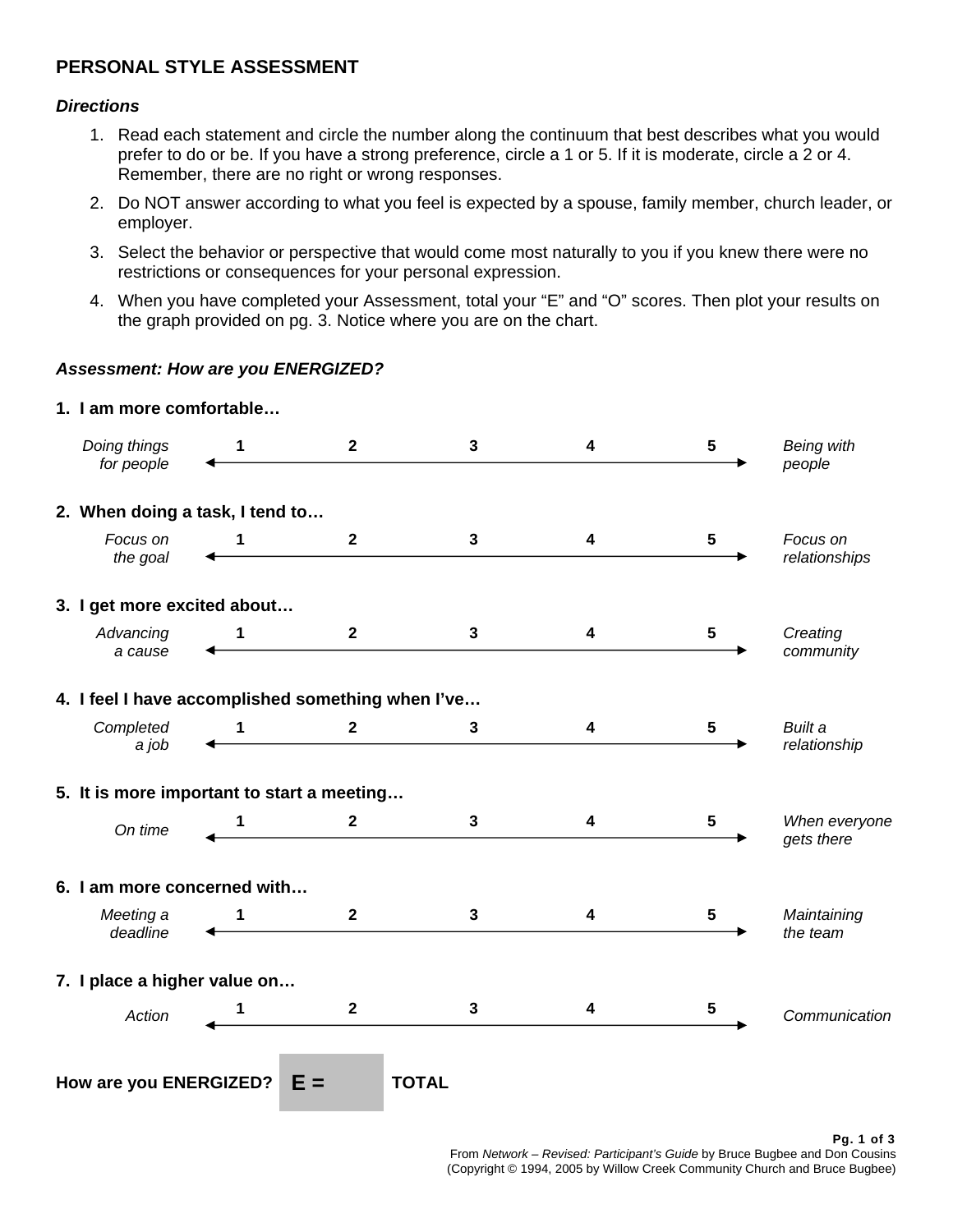# **PERSONAL STYLE ASSESSMENT**

### *Directions*

- 1. Read each statement and circle the number along the continuum that best describes what you would prefer to do or be. If you have a strong preference, circle a 1 or 5. If it is moderate, circle a 2 or 4. Remember, there are no right or wrong responses.
- 2. Do NOT answer according to what you feel is expected by a spouse, family member, church leader, or employer.
- 3. Select the behavior or perspective that would come most naturally to you if you knew there were no restrictions or consequences for your personal expression.
- 4. When you have completed your Assessment, total your "E" and "O" scores. Then plot your results on the graph provided on pg. 3. Notice where you are on the chart.

### *Assessment: How are you ENERGIZED?*

| Doing things<br>for people                        | 1 | $\mathbf{2}$   | 3            | 4 | $\sqrt{5}$      | <b>Being with</b><br>people |
|---------------------------------------------------|---|----------------|--------------|---|-----------------|-----------------------------|
| 2. When doing a task, I tend to                   |   |                |              |   |                 |                             |
| Focus on<br>the goal                              | 1 | $\overline{2}$ | 3            | 4 | $5\phantom{.0}$ | Focus on<br>relationships   |
| 3. I get more excited about                       |   |                |              |   |                 |                             |
| Advancing<br>a cause                              | 1 | $\mathbf{2}$   | 3            | 4 | 5               | Creating<br>community       |
| 4. I feel I have accomplished something when I've |   |                |              |   |                 |                             |
| Completed<br>a job                                | 1 | $\mathbf{2}$   | 3            | 4 | $5\phantom{.0}$ | Built a<br>relationship     |
| 5. It is more important to start a meeting        |   |                |              |   |                 |                             |
| On time                                           |   | $\mathbf{2}$   | $\mathbf{3}$ | 4 | 5               | When everyone<br>gets there |
| 6. I am more concerned with                       |   |                |              |   |                 |                             |
| Meeting a<br>deadline                             | 1 | $\mathbf{2}$   | $\mathbf{3}$ | 4 | 5               | Maintaining<br>the team     |
| 7. I place a higher value on                      |   |                |              |   |                 |                             |
| Action                                            | 1 | $\overline{2}$ | $\mathbf{3}$ | 4 | 5               | Communication               |
| How are you ENERGIZED?                            |   | $E =$          | <b>TOTAL</b> |   |                 |                             |

# **1. I am more comfortable…**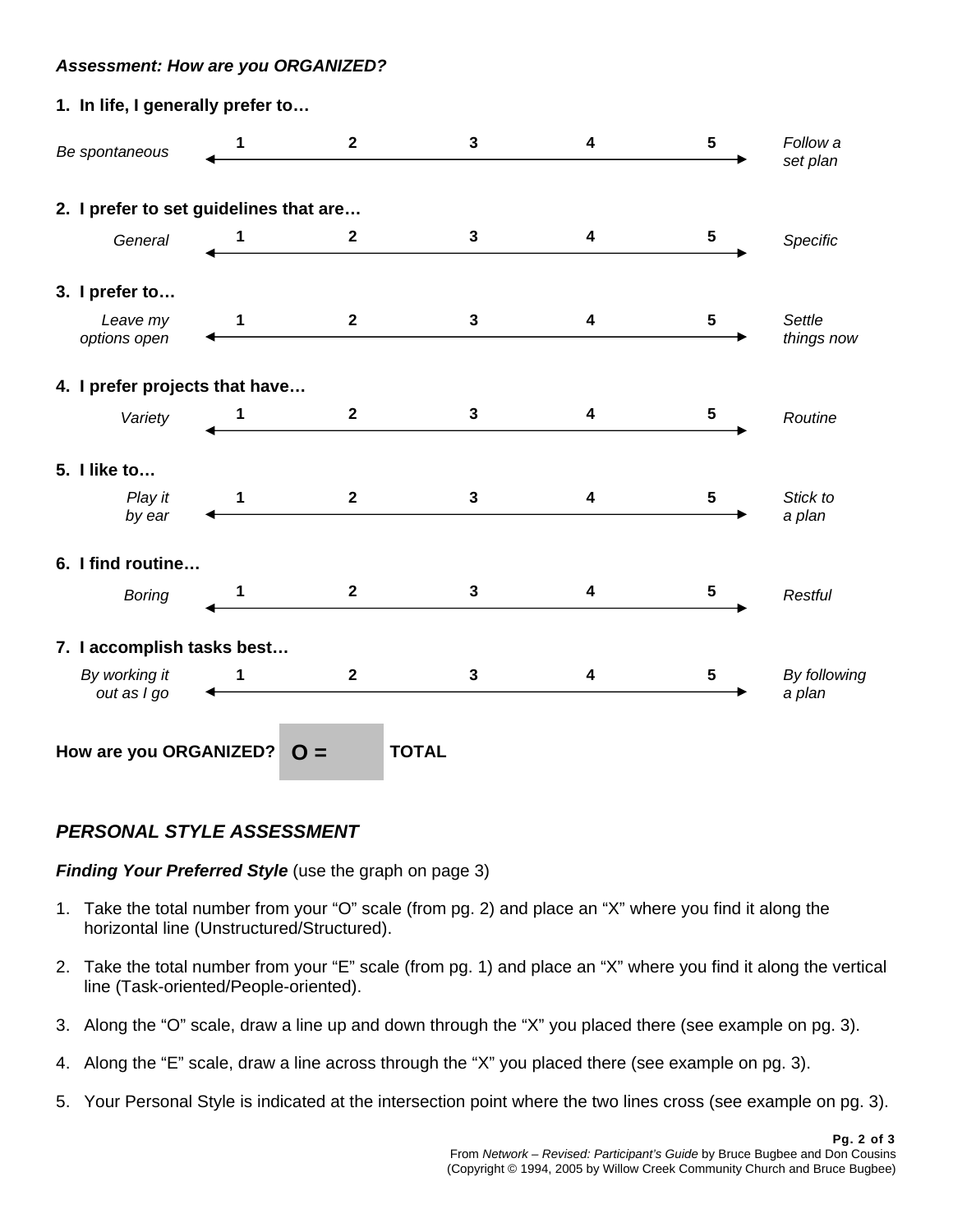### *Assessment: How are you ORGANIZED?*

| 1. In life, I generally prefer to      |             |                |              |                         |                         |                        |
|----------------------------------------|-------------|----------------|--------------|-------------------------|-------------------------|------------------------|
| Be spontaneous                         |             | $2^{\circ}$    | $\mathbf{3}$ | 4                       | $\overline{\mathbf{5}}$ | Follow a<br>set plan   |
| 2. I prefer to set guidelines that are |             |                |              |                         |                         |                        |
| General                                | 1           | $\mathbf{2}$   | 3            | 4                       | $\overline{\mathbf{5}}$ | Specific               |
| 3. I prefer to                         |             |                |              |                         |                         |                        |
| Leave my<br>options open               | $\mathbf 1$ | $\overline{2}$ | $\mathbf{3}$ | 4                       | $\overline{\mathbf{5}}$ | Settle<br>things now   |
| 4. I prefer projects that have         |             |                |              |                         |                         |                        |
| Variety                                | 1           | $\mathbf{2}$   | $\mathbf{3}$ | $\overline{\mathbf{4}}$ | $\sqrt{5}$              | Routine                |
| 5. I like to                           |             |                |              |                         |                         |                        |
| Play it<br>by ear                      | 1           | $\overline{2}$ | 3            | 4                       | 5                       | Stick to<br>a plan     |
| 6. I find routine                      |             |                |              |                         |                         |                        |
| <b>Boring</b>                          | 1           | $\overline{2}$ | $\mathbf{3}$ | 4                       | 5                       | Restful                |
| 7. I accomplish tasks best             |             |                |              |                         |                         |                        |
| By working it<br>out as I go           | $\mathbf 1$ | $\mathbf{2}$   | $\mathbf{3}$ | $\boldsymbol{4}$        | $\overline{\mathbf{5}}$ | By following<br>a plan |
| How are you ORGANIZED?                 |             | $O =$          | <b>TOTAL</b> |                         |                         |                        |

## *PERSONAL STYLE ASSESSMENT*

*Finding Your Preferred Style* (use the graph on page 3)

- 1. Take the total number from your "O" scale (from pg. 2) and place an "X" where you find it along the horizontal line (Unstructured/Structured).
- 2. Take the total number from your "E" scale (from pg. 1) and place an "X" where you find it along the vertical line (Task-oriented/People-oriented).
- 3. Along the "O" scale, draw a line up and down through the "X" you placed there (see example on pg. 3).
- 4. Along the "E" scale, draw a line across through the "X" you placed there (see example on pg. 3).
- 5. Your Personal Style is indicated at the intersection point where the two lines cross (see example on pg. 3).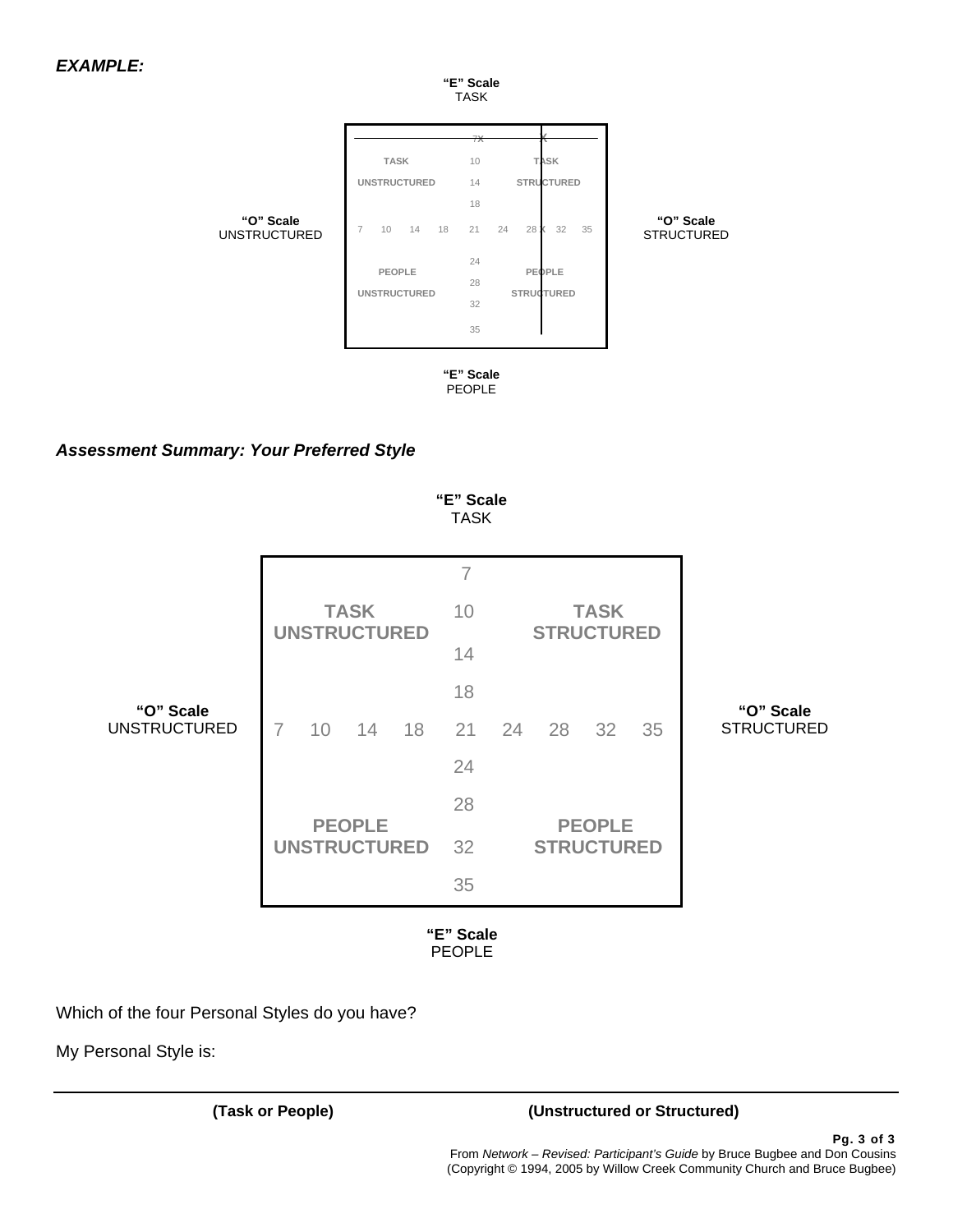

## *Assessment Summary: Your Preferred Style*

|                                  |                                      | "E" Scale<br><b>TASK</b> |                                    |                                |
|----------------------------------|--------------------------------------|--------------------------|------------------------------------|--------------------------------|
|                                  |                                      | $\overline{7}$           |                                    |                                |
|                                  | <b>TASK</b><br><b>UNSTRUCTURED</b>   | 10                       | <b>TASK</b><br><b>STRUCTURED</b>   |                                |
|                                  |                                      | 14                       |                                    |                                |
|                                  |                                      | 18                       |                                    |                                |
| "O" Scale<br><b>UNSTRUCTURED</b> | 18<br>$\overline{7}$<br>10<br>14     | 21                       | 24<br>28<br>32<br>35               | "O" Scale<br><b>STRUCTURED</b> |
|                                  |                                      | 24                       |                                    |                                |
|                                  |                                      | 28                       |                                    |                                |
|                                  | <b>PEOPLE</b><br><b>UNSTRUCTURED</b> | 32                       | <b>PEOPLE</b><br><b>STRUCTURED</b> |                                |
|                                  |                                      | 35                       |                                    |                                |

Which of the four Personal Styles do you have?

My Personal Style is:

## **(Task or People) (Unstructured or Structured)**

Pg. 3 of 3 From *Network – Revised: Participant's Guide* by Bruce Bugbee and Don Cousins (Copyright © 1994, 2005 by Willow Creek Community Church and Bruce Bugbee)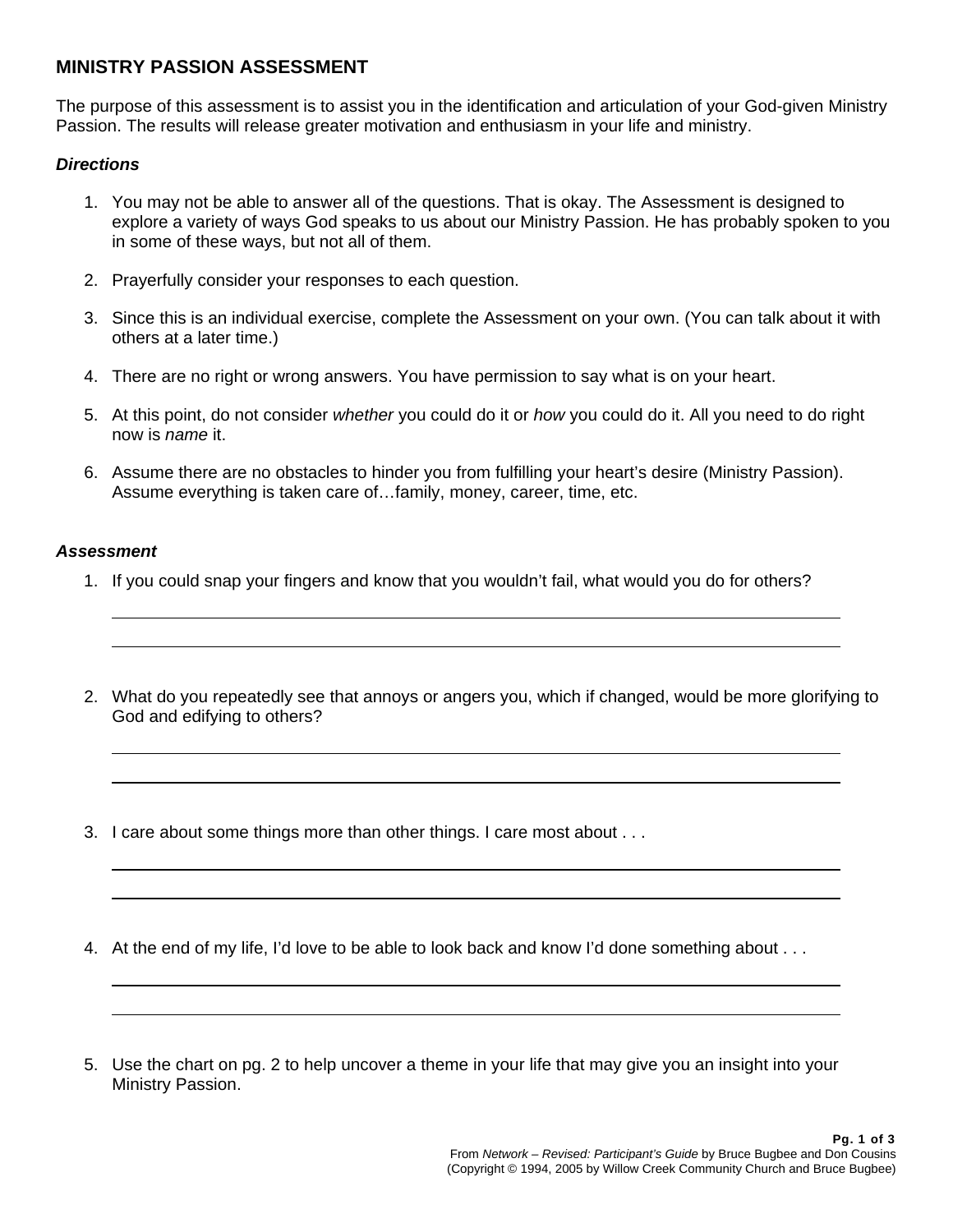## **MINISTRY PASSION ASSESSMENT**

The purpose of this assessment is to assist you in the identification and articulation of your God-given Ministry Passion. The results will release greater motivation and enthusiasm in your life and ministry.

### *Directions*

- 1. You may not be able to answer all of the questions. That is okay. The Assessment is designed to explore a variety of ways God speaks to us about our Ministry Passion. He has probably spoken to you in some of these ways, but not all of them.
- 2. Prayerfully consider your responses to each question.
- 3. Since this is an individual exercise, complete the Assessment on your own. (You can talk about it with others at a later time.)
- 4. There are no right or wrong answers. You have permission to say what is on your heart.
- 5. At this point, do not consider *whether* you could do it or *how* you could do it. All you need to do right now is *name* it.
- 6. Assume there are no obstacles to hinder you from fulfilling your heart's desire (Ministry Passion). Assume everything is taken care of…family, money, career, time, etc.

### *Assessment*

 $\overline{a}$  $\overline{a}$ 

 $\overline{a}$ L

 $\overline{a}$ L

L  $\overline{a}$ 

- 1. If you could snap your fingers and know that you wouldn't fail, what would you do for others?
- 2. What do you repeatedly see that annoys or angers you, which if changed, would be more glorifying to God and edifying to others?
- 3. I care about some things more than other things. I care most about . . .
- 4. At the end of my life, I'd love to be able to look back and know I'd done something about . . .
- 5. Use the chart on pg. 2 to help uncover a theme in your life that may give you an insight into your Ministry Passion.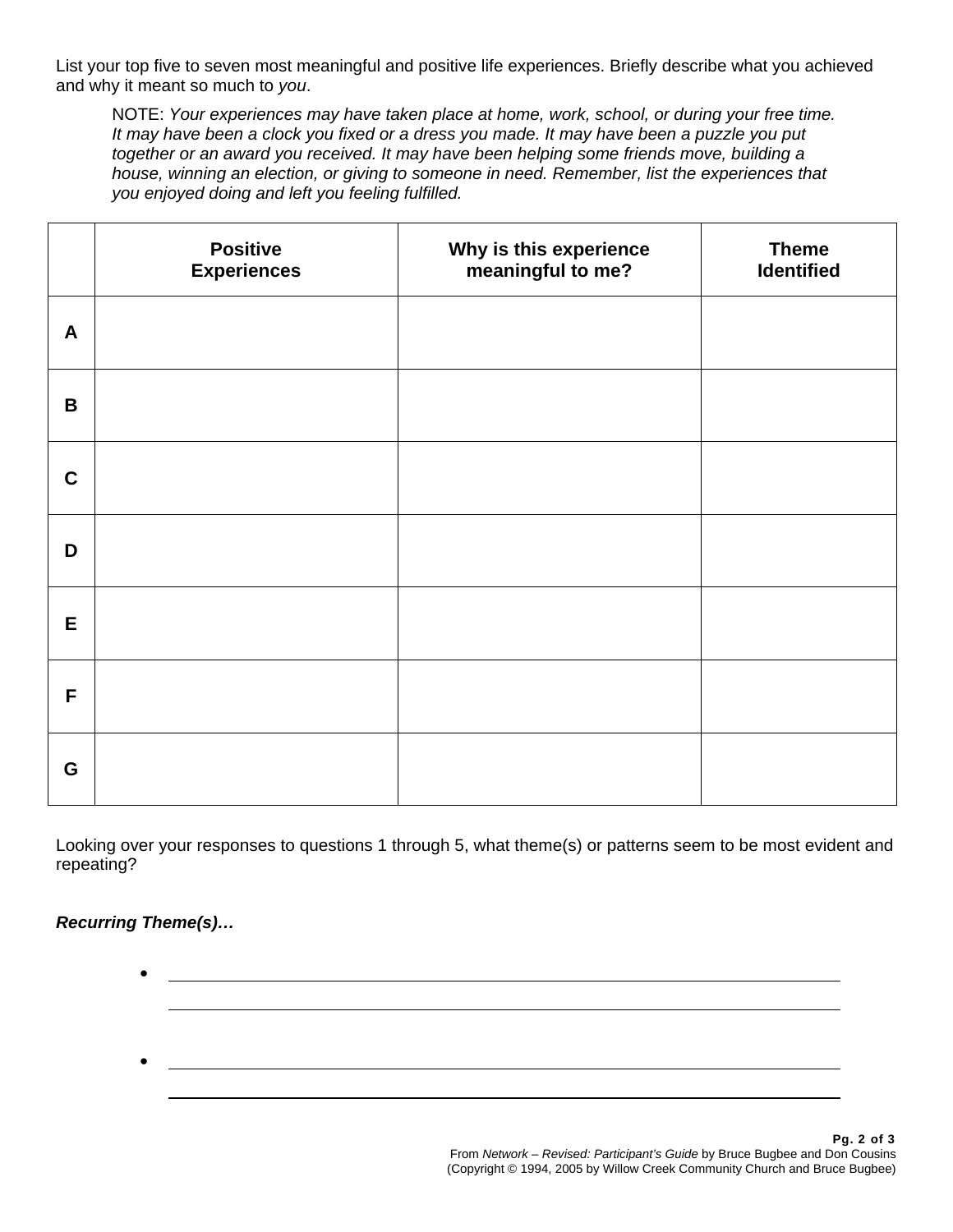List your top five to seven most meaningful and positive life experiences. Briefly describe what you achieved and why it meant so much to *you*.

NOTE: *Your experiences may have taken place at home, work, school, or during your free time. It may have been a clock you fixed or a dress you made. It may have been a puzzle you put together or an award you received. It may have been helping some friends move, building a house, winning an election, or giving to someone in need. Remember, list the experiences that you enjoyed doing and left you feeling fulfilled.*

|                  | <b>Positive</b><br><b>Experiences</b> | Why is this experience<br>meaningful to me? | <b>Theme</b><br><b>Identified</b> |
|------------------|---------------------------------------|---------------------------------------------|-----------------------------------|
| $\boldsymbol{A}$ |                                       |                                             |                                   |
| $\mathbf B$      |                                       |                                             |                                   |
| $\mathbf C$      |                                       |                                             |                                   |
| D                |                                       |                                             |                                   |
| E                |                                       |                                             |                                   |
| F                |                                       |                                             |                                   |
| G                |                                       |                                             |                                   |

Looking over your responses to questions 1 through 5, what theme(s) or patterns seem to be most evident and repeating?

## *Recurring Theme(s)…*

• •